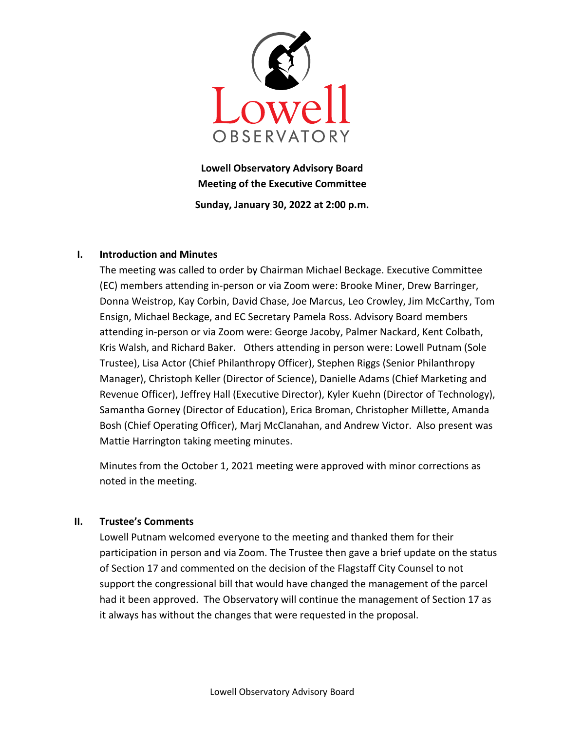

Lowell Observatory Advisory Board Meeting of the Executive Committee Sunday, January 30, 2022 at 2:00 p.m.

## I. Introduction and Minutes

The meeting was called to order by Chairman Michael Beckage. Executive Committee (EC) members attending in-person or via Zoom were: Brooke Miner, Drew Barringer, Donna Weistrop, Kay Corbin, David Chase, Joe Marcus, Leo Crowley, Jim McCarthy, Tom Ensign, Michael Beckage, and EC Secretary Pamela Ross. Advisory Board members attending in-person or via Zoom were: George Jacoby, Palmer Nackard, Kent Colbath, Kris Walsh, and Richard Baker. Others attending in person were: Lowell Putnam (Sole Trustee), Lisa Actor (Chief Philanthropy Officer), Stephen Riggs (Senior Philanthropy Manager), Christoph Keller (Director of Science), Danielle Adams (Chief Marketing and Revenue Officer), Jeffrey Hall (Executive Director), Kyler Kuehn (Director of Technology), Samantha Gorney (Director of Education), Erica Broman, Christopher Millette, Amanda Bosh (Chief Operating Officer), Marj McClanahan, and Andrew Victor. Also present was Mattie Harrington taking meeting minutes.

Minutes from the October 1, 2021 meeting were approved with minor corrections as noted in the meeting.

# II. Trustee's Comments

Lowell Putnam welcomed everyone to the meeting and thanked them for their participation in person and via Zoom. The Trustee then gave a brief update on the status of Section 17 and commented on the decision of the Flagstaff City Counsel to not support the congressional bill that would have changed the management of the parcel had it been approved. The Observatory will continue the management of Section 17 as it always has without the changes that were requested in the proposal.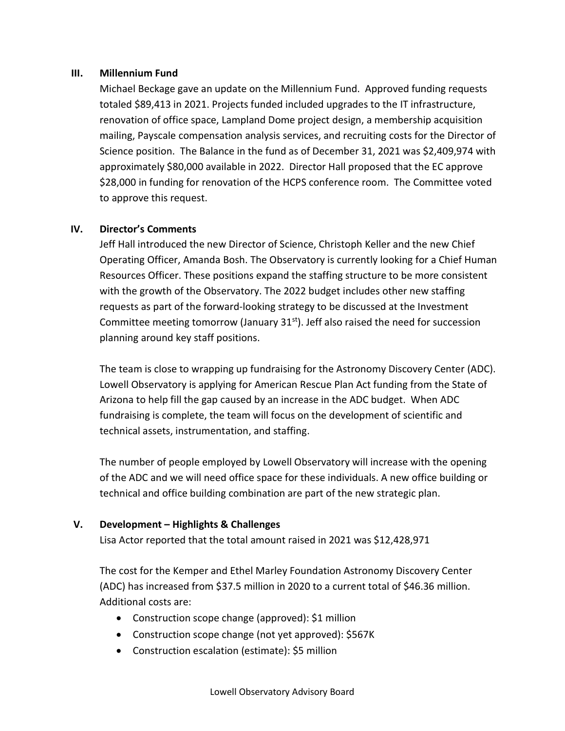## III. Millennium Fund

Michael Beckage gave an update on the Millennium Fund. Approved funding requests totaled \$89,413 in 2021. Projects funded included upgrades to the IT infrastructure, renovation of office space, Lampland Dome project design, a membership acquisition mailing, Payscale compensation analysis services, and recruiting costs for the Director of Science position. The Balance in the fund as of December 31, 2021 was \$2,409,974 with approximately \$80,000 available in 2022. Director Hall proposed that the EC approve \$28,000 in funding for renovation of the HCPS conference room. The Committee voted to approve this request.

## IV. Director's Comments

Jeff Hall introduced the new Director of Science, Christoph Keller and the new Chief Operating Officer, Amanda Bosh. The Observatory is currently looking for a Chief Human Resources Officer. These positions expand the staffing structure to be more consistent with the growth of the Observatory. The 2022 budget includes other new staffing requests as part of the forward-looking strategy to be discussed at the Investment Committee meeting tomorrow (January  $31<sup>st</sup>$ ). Jeff also raised the need for succession planning around key staff positions.

The team is close to wrapping up fundraising for the Astronomy Discovery Center (ADC). Lowell Observatory is applying for American Rescue Plan Act funding from the State of Arizona to help fill the gap caused by an increase in the ADC budget. When ADC fundraising is complete, the team will focus on the development of scientific and technical assets, instrumentation, and staffing.

The number of people employed by Lowell Observatory will increase with the opening of the ADC and we will need office space for these individuals. A new office building or technical and office building combination are part of the new strategic plan.

## V. Development – Highlights & Challenges

Lisa Actor reported that the total amount raised in 2021 was \$12,428,971

The cost for the Kemper and Ethel Marley Foundation Astronomy Discovery Center (ADC) has increased from \$37.5 million in 2020 to a current total of \$46.36 million. Additional costs are:

- Construction scope change (approved): \$1 million
- Construction scope change (not yet approved): \$567K
- Construction escalation (estimate): \$5 million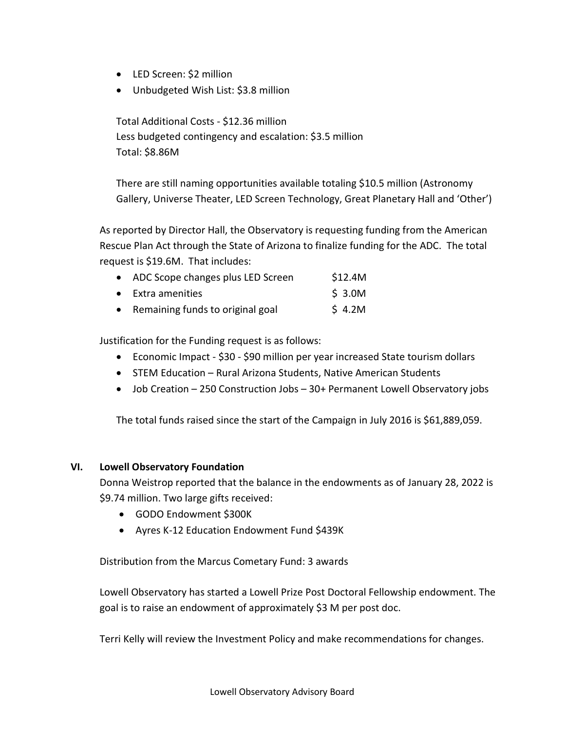- LED Screen: \$2 million
- Unbudgeted Wish List: \$3.8 million

Total Additional Costs - \$12.36 million Less budgeted contingency and escalation: \$3.5 million Total: \$8.86M

There are still naming opportunities available totaling \$10.5 million (Astronomy Gallery, Universe Theater, LED Screen Technology, Great Planetary Hall and 'Other')

As reported by Director Hall, the Observatory is requesting funding from the American Rescue Plan Act through the State of Arizona to finalize funding for the ADC. The total request is \$19.6M. That includes:

| • ADC Scope changes plus LED Screen | \$12.4M |
|-------------------------------------|---------|
| • Extra amenities                   | \$3.0M  |

• Remaining funds to original goal \$ 4.2M

Justification for the Funding request is as follows:

- Economic Impact \$30 \$90 million per year increased State tourism dollars
- STEM Education Rural Arizona Students, Native American Students
- Job Creation 250 Construction Jobs 30+ Permanent Lowell Observatory jobs

The total funds raised since the start of the Campaign in July 2016 is \$61,889,059.

## VI. Lowell Observatory Foundation

Donna Weistrop reported that the balance in the endowments as of January 28, 2022 is \$9.74 million. Two large gifts received:

- GODO Endowment \$300K
- Ayres K-12 Education Endowment Fund \$439K

Distribution from the Marcus Cometary Fund: 3 awards

Lowell Observatory has started a Lowell Prize Post Doctoral Fellowship endowment. The goal is to raise an endowment of approximately \$3 M per post doc.

Terri Kelly will review the Investment Policy and make recommendations for changes.